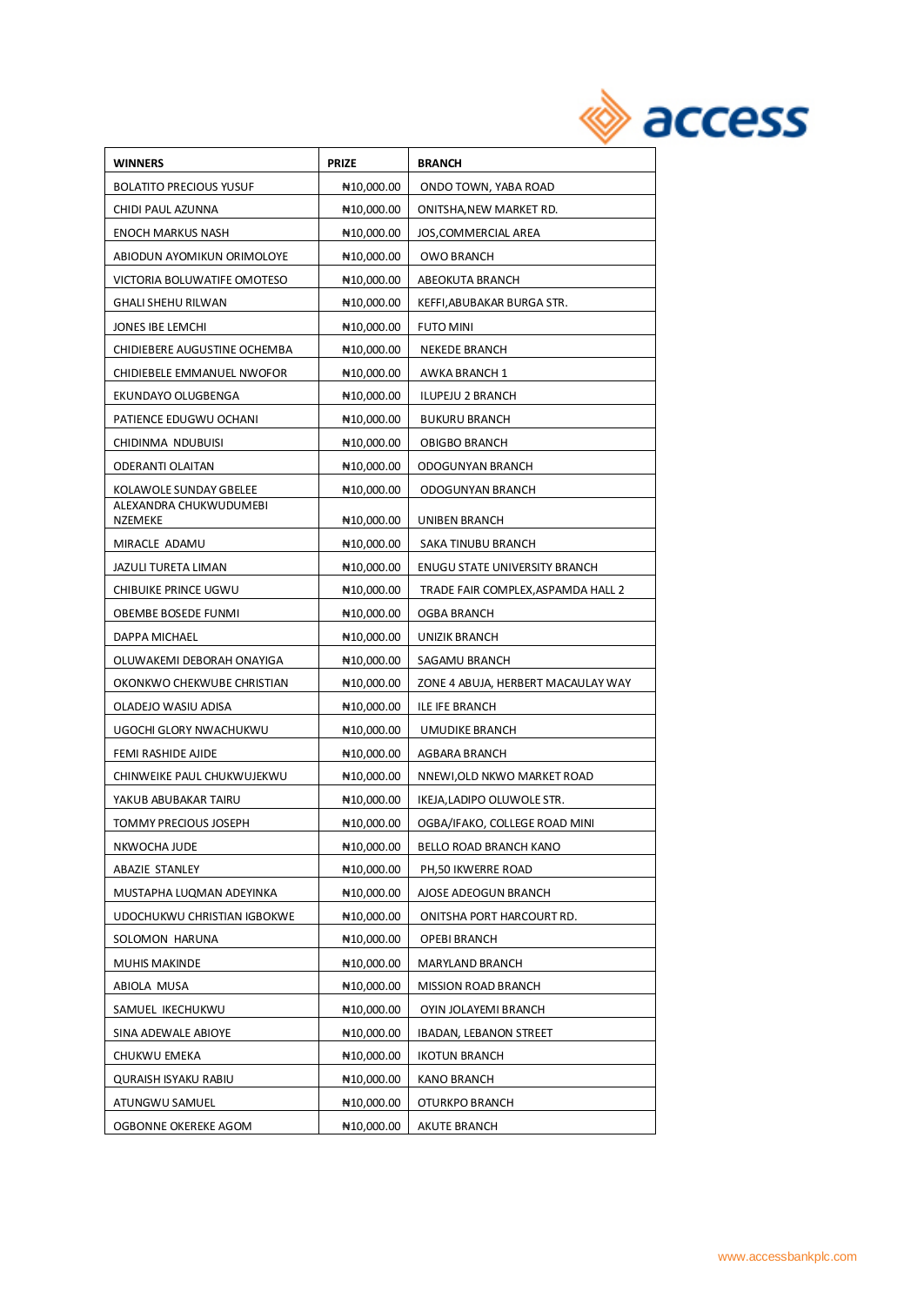| <b>WINNERS</b>                    | <b>PRIZE</b>             | <b>BRANCH</b>                      |
|-----------------------------------|--------------------------|------------------------------------|
| <b>BOLATITO PRECIOUS YUSUF</b>    | ₦10,000.00               | ONDO TOWN, YABA ROAD               |
| CHIDI PAUL AZUNNA                 | ₦10,000.00               | ONITSHA, NEW MARKET RD.            |
| <b>ENOCH MARKUS NASH</b>          | ₦10,000.00               | JOS, COMMERCIAL AREA               |
| ABIODUN AYOMIKUN ORIMOLOYE        | ₦10,000.00               | <b>OWO BRANCH</b>                  |
| VICTORIA BOLUWATIFE OMOTESO       | ₦10,000.00               | ABEOKUTA BRANCH                    |
| GHALI SHEHU RILWAN                | NH <sub>10</sub> ,000.00 | KEFFI,ABUBAKAR BURGA STR.          |
| JONES IBE LEMCHI                  | ₦10,000.00               | <b>FUTO MINI</b>                   |
| CHIDIEBERE AUGUSTINE OCHEMBA      | ₦10,000.00               | <b>NEKEDE BRANCH</b>               |
| CHIDIEBELE EMMANUEL NWOFOR        | NH <sub>10</sub> ,000.00 | AWKA BRANCH 1                      |
| EKUNDAYO OLUGBENGA                | NH <sub>10</sub> ,000.00 | ILUPEJU 2 BRANCH                   |
| PATIENCE EDUGWU OCHANI            | ₦10,000.00               | <b>BUKURU BRANCH</b>               |
| CHIDINMA NDUBUISI                 | ₦10,000.00               | <b>OBIGBO BRANCH</b>               |
| ODERANTI OLAITAN                  | N <sub>10</sub> ,000.00  | ODOGUNYAN BRANCH                   |
| KOLAWOLE SUNDAY GBELEE            | ₦10,000.00               | ODOGUNYAN BRANCH                   |
| ALEXANDRA CHUKWUDUMEBI<br>NZEMEKE | ₦10,000.00               | UNIBEN BRANCH                      |
| MIRACLE ADAMU                     | ₦10,000.00               | SAKA TINUBU BRANCH                 |
| JAZULI TURETA LIMAN               | ₦10,000.00               | ENUGU STATE UNIVERSITY BRANCH      |
| CHIBUIKE PRINCE UGWU              | ₦10,000.00               | TRADE FAIR COMPLEX, ASPAMDA HALL 2 |
| OBEMBE BOSEDE FUNMI               | ₦10,000.00               | <b>OGBA BRANCH</b>                 |
| DAPPA MICHAEL                     | ₦10,000.00               | UNIZIK BRANCH                      |
| OLUWAKEMI DEBORAH ONAYIGA         | ₦10,000.00               | SAGAMU BRANCH                      |
| OKONKWO CHEKWUBE CHRISTIAN        | ₦10,000.00               | ZONE 4 ABUJA, HERBERT MACAULAY WAY |
| OLADEJO WASIU ADISA               | ₦10,000.00               | ILE IFE BRANCH                     |
| UGOCHI GLORY NWACHUKWU            | ₦10,000.00               | UMUDIKE BRANCH                     |
| FEMI RASHIDE AJIDE                | ₦10,000.00               | AGBARA BRANCH                      |
| CHINWEIKE PAUL CHUKWUJEKWU        | ₦10,000.00               | NNEWI, OLD NKWO MARKET ROAD        |
| YAKUB ABUBAKAR TAIRU              | ₦10,000.00               | IKEJA, LADIPO OLUWOLE STR.         |
| <b>TOMMY PRECIOUS JOSEPH</b>      | ₦10,000.00               | OGBA/IFAKO, COLLEGE ROAD MINI      |
| NKWOCHA JUDE                      | ₦10,000.00               | BELLO ROAD BRANCH KANO             |
| ABAZIE STANLEY                    | ₦10,000.00               | PH,50 IKWERRE ROAD                 |
| MUSTAPHA LUQMAN ADEYINKA          | ₦10,000.00               | AJOSE ADEOGUN BRANCH               |
| UDOCHUKWU CHRISTIAN IGBOKWE       | ₦10,000.00               | ONITSHA PORT HARCOURT RD.          |
| SOLOMON HARUNA                    | ₦10,000.00               | OPEBI BRANCH                       |
| <b>MUHIS MAKINDE</b>              | ₦10.000.00               | MARYLAND BRANCH                    |
| ABIOLA MUSA                       | ₦10.000.00               | <b>MISSION ROAD BRANCH</b>         |
| SAMUEL IKECHUKWU                  | N <sub>10</sub> ,000.00  | OYIN JOLAYEMI BRANCH               |
| SINA ADEWALE ABIOYE               | ₦10,000.00               | <b>IBADAN, LEBANON STREET</b>      |
| CHUKWU EMEKA                      | ₦10,000.00               | <b>IKOTUN BRANCH</b>               |
| <b>QURAISH ISYAKU RABIU</b>       | ₦10,000.00               | <b>KANO BRANCH</b>                 |
| ATUNGWU SAMUEL                    | ₦10,000.00               | OTURKPO BRANCH                     |
| OGBONNE OKEREKE AGOM              | ₦10,000.00               | <b>AKUTE BRANCH</b>                |
|                                   |                          |                                    |